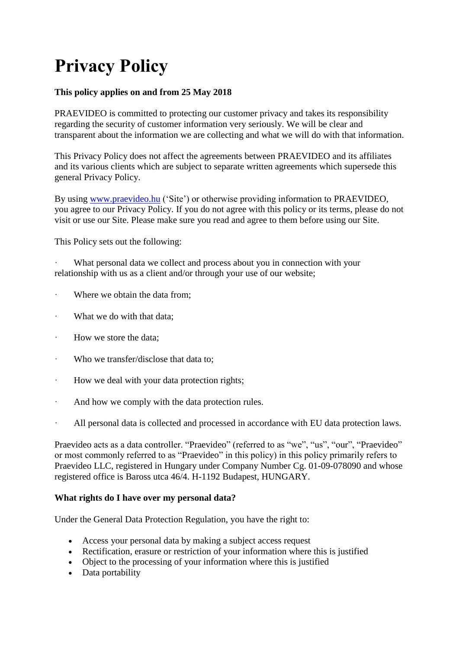# **Privacy Policy**

# **This policy applies on and from 25 May 2018**

PRAEVIDEO is committed to protecting our customer privacy and takes its responsibility regarding the security of customer information very seriously. We will be clear and transparent about the information we are collecting and what we will do with that information.

This Privacy Policy does not affect the agreements between PRAEVIDEO and its affiliates and its various clients which are subject to separate written agreements which supersede this general Privacy Policy.

By using [www.praevideo.hu](http://www.praevideo.hu/) ('Site') or otherwise providing information to PRAEVIDEO, you agree to our Privacy Policy. If you do not agree with this policy or its terms, please do not visit or use our Site. Please make sure you read and agree to them before using our Site.

This Policy sets out the following:

What personal data we collect and process about you in connection with your relationship with us as a client and/or through your use of our website;

- Where we obtain the data from:
- What we do with that data:
- · How we store the data;
- · Who we transfer/disclose that data to;
- How we deal with your data protection rights;
- · And how we comply with the data protection rules.
- All personal data is collected and processed in accordance with EU data protection laws.

Praevideo acts as a data controller. "Praevideo" (referred to as "we", "us", "our", "Praevideo" or most commonly referred to as "Praevideo" in this policy) in this policy primarily refers to Praevideo LLC, registered in Hungary under Company Number Cg. 01-09-078090 and whose registered office is Baross utca 46/4. H-1192 Budapest, HUNGARY.

#### **What rights do I have over my personal data?**

Under the General Data Protection Regulation, you have the right to:

- Access your personal data by making a subject access request
- Rectification, erasure or restriction of your information where this is justified
- Object to the processing of your information where this is justified
- Data portability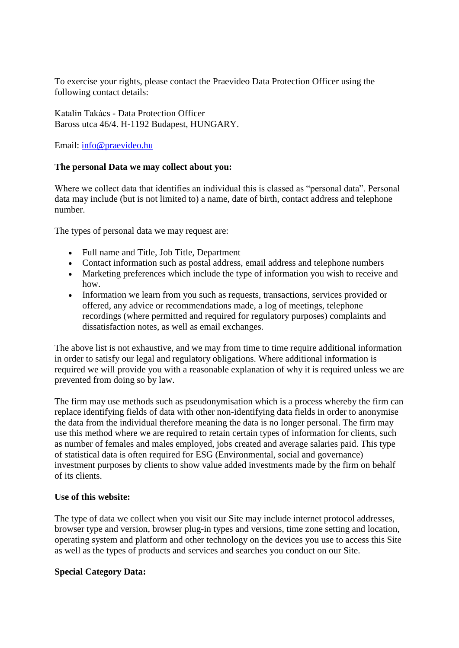To exercise your rights, please contact the Praevideo Data Protection Officer using the following contact details:

Katalin Takács - Data Protection Officer Baross utca 46/4. H-1192 Budapest, HUNGARY.

Email: [info@praevideo.hu](mailto:info@praevideo.hu)

## **The personal Data we may collect about you:**

Where we collect data that identifies an individual this is classed as "personal data". Personal data may include (but is not limited to) a name, date of birth, contact address and telephone number.

The types of personal data we may request are:

- Full name and Title, Job Title, Department
- Contact information such as postal address, email address and telephone numbers
- Marketing preferences which include the type of information you wish to receive and how.
- Information we learn from you such as requests, transactions, services provided or offered, any advice or recommendations made, a log of meetings, telephone recordings (where permitted and required for regulatory purposes) complaints and dissatisfaction notes, as well as email exchanges.

The above list is not exhaustive, and we may from time to time require additional information in order to satisfy our legal and regulatory obligations. Where additional information is required we will provide you with a reasonable explanation of why it is required unless we are prevented from doing so by law.

The firm may use methods such as pseudonymisation which is a process whereby the firm can replace identifying fields of data with other non-identifying data fields in order to anonymise the data from the individual therefore meaning the data is no longer personal. The firm may use this method where we are required to retain certain types of information for clients, such as number of females and males employed, jobs created and average salaries paid. This type of statistical data is often required for ESG (Environmental, social and governance) investment purposes by clients to show value added investments made by the firm on behalf of its clients.

#### **Use of this website:**

The type of data we collect when you visit our Site may include internet protocol addresses, browser type and version, browser plug-in types and versions, time zone setting and location, operating system and platform and other technology on the devices you use to access this Site as well as the types of products and services and searches you conduct on our Site.

#### **Special Category Data:**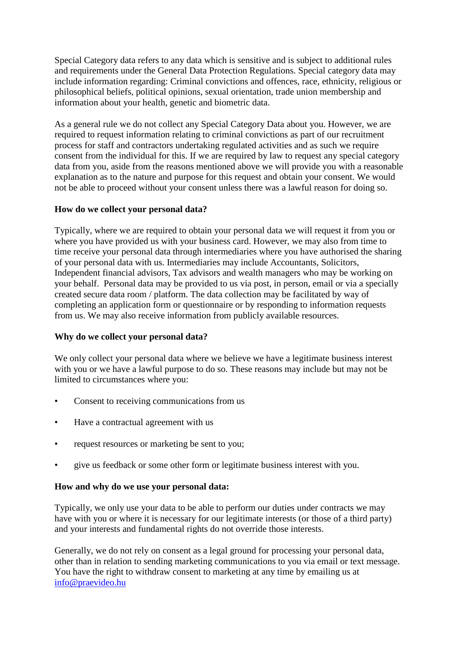Special Category data refers to any data which is sensitive and is subject to additional rules and requirements under the General Data Protection Regulations. Special category data may include information regarding: Criminal convictions and offences, race, ethnicity, religious or philosophical beliefs, political opinions, sexual orientation, trade union membership and information about your health, genetic and biometric data.

As a general rule we do not collect any Special Category Data about you. However, we are required to request information relating to criminal convictions as part of our recruitment process for staff and contractors undertaking regulated activities and as such we require consent from the individual for this. If we are required by law to request any special category data from you, aside from the reasons mentioned above we will provide you with a reasonable explanation as to the nature and purpose for this request and obtain your consent. We would not be able to proceed without your consent unless there was a lawful reason for doing so.

# **How do we collect your personal data?**

Typically, where we are required to obtain your personal data we will request it from you or where you have provided us with your business card. However, we may also from time to time receive your personal data through intermediaries where you have authorised the sharing of your personal data with us. Intermediaries may include Accountants, Solicitors, Independent financial advisors, Tax advisors and wealth managers who may be working on your behalf. Personal data may be provided to us via post, in person, email or via a specially created secure data room / platform. The data collection may be facilitated by way of completing an application form or questionnaire or by responding to information requests from us. We may also receive information from publicly available resources.

# **Why do we collect your personal data?**

We only collect your personal data where we believe we have a legitimate business interest with you or we have a lawful purpose to do so. These reasons may include but may not be limited to circumstances where you:

- Consent to receiving communications from us
- Have a contractual agreement with us
- request resources or marketing be sent to you;
- give us feedback or some other form or legitimate business interest with you.

# **How and why do we use your personal data:**

Typically, we only use your data to be able to perform our duties under contracts we may have with you or where it is necessary for our legitimate interests (or those of a third party) and your interests and fundamental rights do not override those interests.

Generally, we do not rely on consent as a legal ground for processing your personal data, other than in relation to sending marketing communications to you via email or text message. You have the right to withdraw consent to marketing at any time by emailing us at [info@praevideo.hu](mailto:info@praevideo.hu)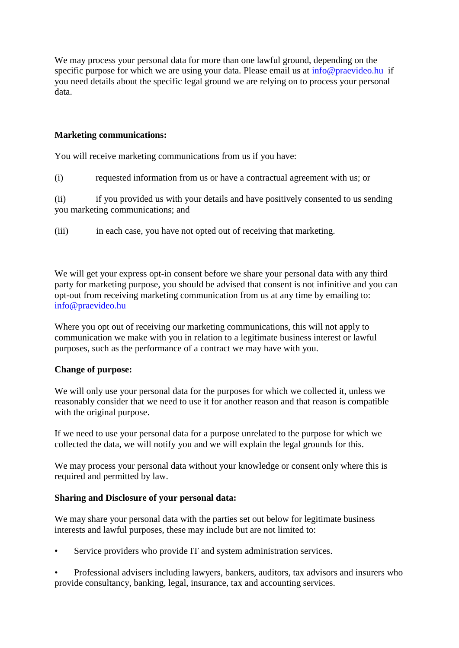We may process your personal data for more than one lawful ground, depending on the specific purpose for which we are using your data. Please email us at [info@praevideo.hu](mailto:info@praevideo.hu) if you need details about the specific legal ground we are relying on to process your personal data.

## **Marketing communications:**

You will receive marketing communications from us if you have:

(i) requested information from us or have a contractual agreement with us; or

(ii) if you provided us with your details and have positively consented to us sending you marketing communications; and

(iii) in each case, you have not opted out of receiving that marketing.

We will get your express opt-in consent before we share your personal data with any third party for marketing purpose, you should be advised that consent is not infinitive and you can opt-out from receiving marketing communication from us at any time by emailing to: [info@praevideo.hu](mailto:info@praevideo.hu)

Where you opt out of receiving our marketing communications, this will not apply to communication we make with you in relation to a legitimate business interest or lawful purposes, such as the performance of a contract we may have with you.

#### **Change of purpose:**

We will only use your personal data for the purposes for which we collected it, unless we reasonably consider that we need to use it for another reason and that reason is compatible with the original purpose.

If we need to use your personal data for a purpose unrelated to the purpose for which we collected the data, we will notify you and we will explain the legal grounds for this.

We may process your personal data without your knowledge or consent only where this is required and permitted by law.

#### **Sharing and Disclosure of your personal data:**

We may share your personal data with the parties set out below for legitimate business interests and lawful purposes, these may include but are not limited to:

Service providers who provide IT and system administration services.

• Professional advisers including lawyers, bankers, auditors, tax advisors and insurers who provide consultancy, banking, legal, insurance, tax and accounting services.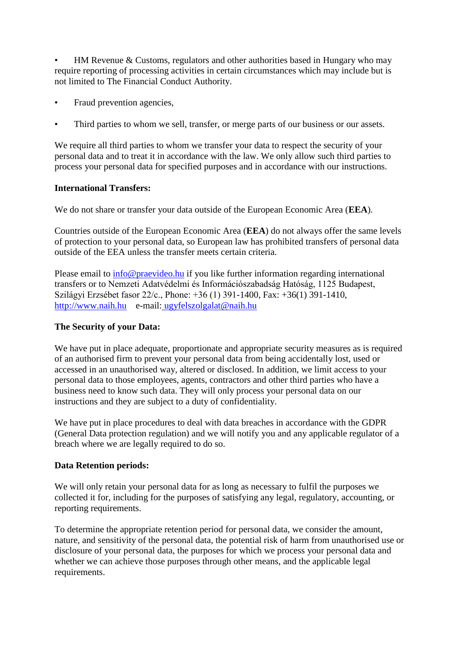• HM Revenue & Customs, regulators and other authorities based in Hungary who may require reporting of processing activities in certain circumstances which may include but is not limited to The Financial Conduct Authority.

- Fraud prevention agencies,
- Third parties to whom we sell, transfer, or merge parts of our business or our assets.

We require all third parties to whom we transfer your data to respect the security of your personal data and to treat it in accordance with the law. We only allow such third parties to process your personal data for specified purposes and in accordance with our instructions.

# **International Transfers:**

We do not share or transfer your data outside of the European Economic Area (**EEA**).

Countries outside of the European Economic Area (**EEA**) do not always offer the same levels of protection to your personal data, so European law has prohibited transfers of personal data outside of the EEA unless the transfer meets certain criteria.

Please email to [info@praevideo.hu](mailto:info@praevideo.hu) if you like further information regarding international transfers or to Nemzeti Adatvédelmi és Információszabadság Hatóság, 1125 Budapest, Szilágyi Erzsébet fasor 22/c., Phone: +36 (1) 391-1400, Fax: +36(1) 391-1410, [http://www.naih.hu](http://www.naih.hu/) e-mail: ugyfelszolgalat@naih.hu

# **The Security of your Data:**

We have put in place adequate, proportionate and appropriate security measures as is required of an authorised firm to prevent your personal data from being accidentally lost, used or accessed in an unauthorised way, altered or disclosed. In addition, we limit access to your personal data to those employees, agents, contractors and other third parties who have a business need to know such data. They will only process your personal data on our instructions and they are subject to a duty of confidentiality.

We have put in place procedures to deal with data breaches in accordance with the GDPR (General Data protection regulation) and we will notify you and any applicable regulator of a breach where we are legally required to do so.

# **Data Retention periods:**

We will only retain your personal data for as long as necessary to fulfil the purposes we collected it for, including for the purposes of satisfying any legal, regulatory, accounting, or reporting requirements.

To determine the appropriate retention period for personal data, we consider the amount, nature, and sensitivity of the personal data, the potential risk of harm from unauthorised use or disclosure of your personal data, the purposes for which we process your personal data and whether we can achieve those purposes through other means, and the applicable legal requirements.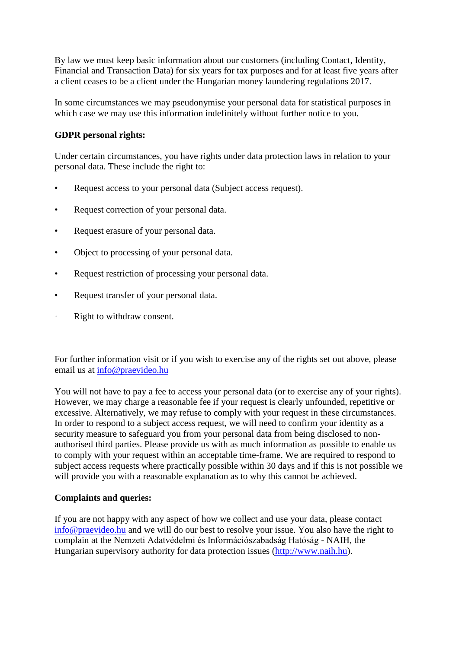By law we must keep basic information about our customers (including Contact, Identity, Financial and Transaction Data) for six years for tax purposes and for at least five years after a client ceases to be a client under the Hungarian money laundering regulations 2017.

In some circumstances we may pseudonymise your personal data for statistical purposes in which case we may use this information indefinitely without further notice to you.

# **GDPR personal rights:**

Under certain circumstances, you have rights under data protection laws in relation to your personal data. These include the right to:

- Request access to your personal data (Subject access request).
- Request correction of your personal data.
- Request erasure of your personal data.
- Object to processing of your personal data.
- Request restriction of processing your personal data.
- Request transfer of your personal data.
- · Right to withdraw consent.

For further information visit or if you wish to exercise any of the rights set out above, please email us at [info@praevideo.hu](mailto:info@praevideo.hu)

You will not have to pay a fee to access your personal data (or to exercise any of your rights). However, we may charge a reasonable fee if your request is clearly unfounded, repetitive or excessive. Alternatively, we may refuse to comply with your request in these circumstances. In order to respond to a subject access request, we will need to confirm your identity as a security measure to safeguard you from your personal data from being disclosed to nonauthorised third parties. Please provide us with as much information as possible to enable us to comply with your request within an acceptable time-frame. We are required to respond to subject access requests where practically possible within 30 days and if this is not possible we will provide you with a reasonable explanation as to why this cannot be achieved.

# **Complaints and queries:**

If you are not happy with any aspect of how we collect and use your data, please contact [info@praevideo.hu](mailto:info@praevideo.hu) and we will do our best to resolve your issue. You also have the right to complain at the Nemzeti Adatvédelmi és Információszabadság Hatóság - NAIH, the Hungarian supervisory authority for data protection issues [\(http://www.naih.hu\)](http://www.naih.hu/).